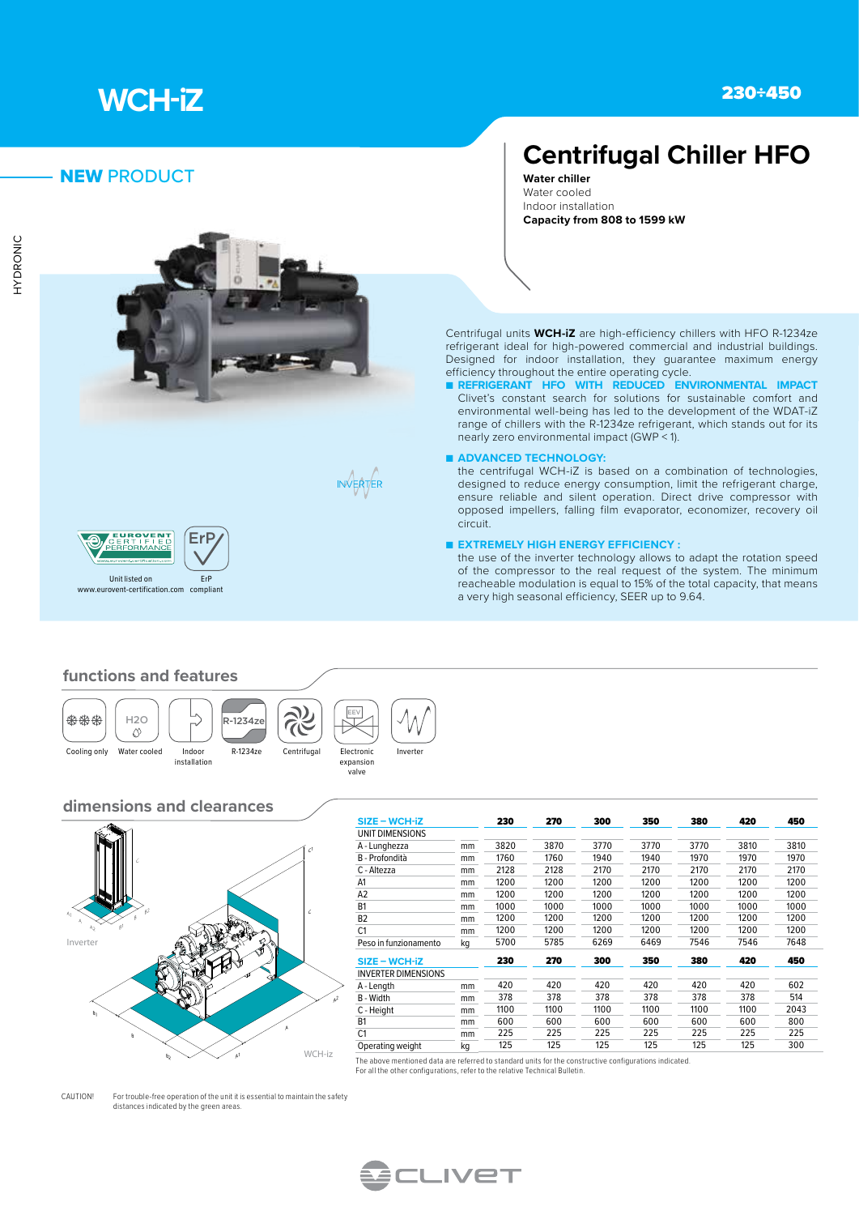

## NEW PRODUCT







# **Centrifugal Chiller HFO**

**Water chiller** Water cooled Indoor installation **Capacity from 808 to 1599 kW**

Centrifugal units **WCH-iZ** are high-efficiency chillers with HFO R-1234ze refrigerant ideal for high-powered commercial and industrial buildings. Designed for indoor installation, they guarantee maximum energy efficiency throughout the entire operating cycle.

- REFRIGERANT HFO WITH REDUCED ENVIRONMENTAL IMPACT Clivet's constant search for solutions for sustainable comfort and environmental well-being has led to the development of the WDAT-iZ range of chillers with the R-1234ze refrigerant, which stands out for its nearly zero environmental impact (GWP < 1).
- **ADVANCED TECHNOLOGY:**

the centrifugal WCH-iZ is based on a combination of technologies, designed to reduce energy consumption, limit the refrigerant charge, ensure reliable and silent operation. Direct drive compressor with opposed impellers, falling film evaporator, economizer, recovery oil circuit.

#### ■ **EXTREMELY HIGH ENERGY EFFICIENCY :**

the use of the inverter technology allows to adapt the rotation speed of the compressor to the real request of the system. The minimum reacheable modulation is equal to 15% of the total capacity, that means a very high seasonal efficiency, SEER up to 9.64.

#### **functions and features**







expansion valve

T

# **dimensions and clearances**



| $SIZE - WCH-iz$            |    | 230  | 270  | 300  | 350  | 380  | 420  | 450  |
|----------------------------|----|------|------|------|------|------|------|------|
| UNIT DIMENSIONS            |    |      |      |      |      |      |      |      |
| A - Lunghezza              | mm | 3820 | 3870 | 3770 | 3770 | 3770 | 3810 | 3810 |
| B - Profondità             | mm | 1760 | 1760 | 1940 | 1940 | 1970 | 1970 | 1970 |
| C - Altezza                | mm | 2128 | 2128 | 2170 | 2170 | 2170 | 2170 | 2170 |
| A1                         | mm | 1200 | 1200 | 1200 | 1200 | 1200 | 1200 | 1200 |
| A <sub>2</sub>             | mm | 1200 | 1200 | 1200 | 1200 | 1200 | 1200 | 1200 |
| B <sub>1</sub>             | mm | 1000 | 1000 | 1000 | 1000 | 1000 | 1000 | 1000 |
| B <sub>2</sub>             | mm | 1200 | 1200 | 1200 | 1200 | 1200 | 1200 | 1200 |
| C <sub>1</sub>             | mm | 1200 | 1200 | 1200 | 1200 | 1200 | 1200 | 1200 |
| Peso in funzionamento      | kg | 5700 | 5785 | 6269 | 6469 | 7546 | 7546 | 7648 |
| $SIZE - WCH-iz$            |    | 230  | 270  | 300  | 350  | 380  | 420  | 450  |
| <b>INVERTER DIMENSIONS</b> |    |      |      |      |      |      |      |      |
| A - Length                 | mm | 420  | 420  | 420  | 420  | 420  | 420  | 602  |
| B - Width                  | mm | 378  | 378  | 378  | 378  | 378  | 378  | 514  |
| C - Height                 | mm | 1100 | 1100 | 1100 | 1100 | 1100 | 1100 | 2043 |
| B <sub>1</sub>             | mm | 600  | 600  | 600  | 600  | 600  | 600  | 800  |
| C <sub>1</sub>             | mm | 225  | 225  | 225  | 225  | 225  | 225  | 225  |
| Operating weight           | kg | 125  | 125  | 125  | 125  | 125  | 125  | 300  |

The above mentioned data are referred to standard units for the constructive configurations indicated. For all the other configurations, refer to the relative Technical Bulletin.

CAUTION! For trouble-free operation of the unit it is essential to maintain the safety distances indicated by the green areas.